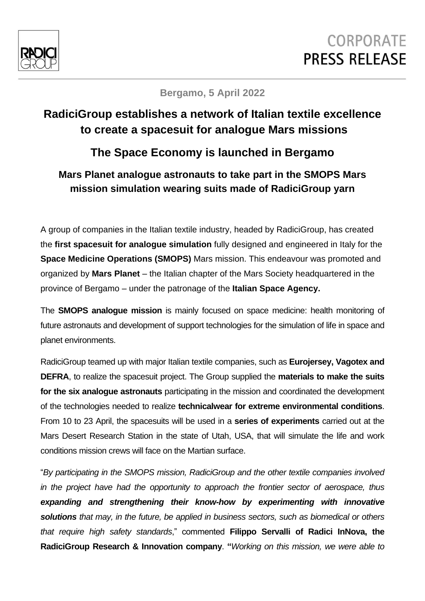

# **CORPORATE PRESS RELEASE**

#### **Bergamo, 5 April 2022**

## **RadiciGroup establishes a network of Italian textile excellence to create a spacesuit for analogue Mars missions**

### **The Space Economy is launched in Bergamo**

#### **Mars Planet analogue astronauts to take part in the SMOPS Mars mission simulation wearing suits made of RadiciGroup yarn**

A group of companies in the Italian textile industry, headed by RadiciGroup, has created the **first spacesuit for analogue simulation** fully designed and engineered in Italy for the **Space Medicine Operations (SMOPS)** Mars mission. This endeavour was promoted and organized by **Mars Planet** – the Italian chapter of the Mars Society headquartered in the province of Bergamo – under the patronage of the **Italian Space Agency.**

The **SMOPS analogue mission** is mainly focused on space medicine: health monitoring of future astronauts and development of support technologies for the simulation of life in space and planet environments.

RadiciGroup teamed up with major Italian textile companies, such as **Eurojersey, Vagotex and DEFRA**, to realize the spacesuit project. The Group supplied the **materials to make the suits for the six analogue astronauts** participating in the mission and coordinated the development of the technologies needed to realize **technicalwear for extreme environmental conditions**. From 10 to 23 April, the spacesuits will be used in a **series of experiments** carried out at the Mars Desert Research Station in the state of Utah, USA, that will simulate the life and work conditions mission crews will face on the Martian surface.

"*By participating in the SMOPS mission, RadiciGroup and the other textile companies involved in the project have had the opportunity to approach the frontier sector of aerospace, thus expanding and strengthening their know-how by experimenting with innovative solutions that may, in the future, be applied in business sectors, such as biomedical or others that require high safety standards*," commented **Filippo Servalli of Radici InNova, the RadiciGroup Research & Innovation company**. **"***Working on this mission, we were able to*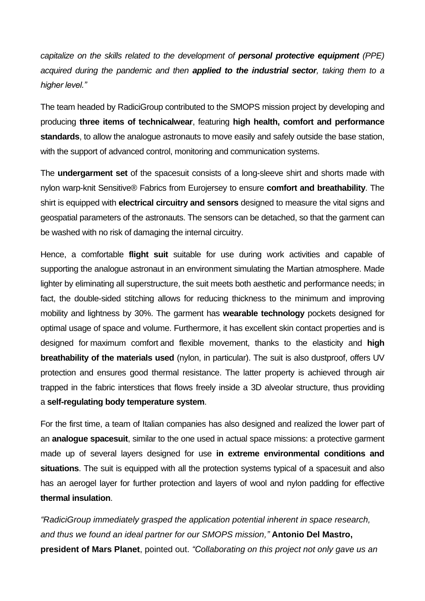*capitalize on the skills related to the development of personal protective equipment (PPE) acquired during the pandemic and then applied to the industrial sector, taking them to a higher level."* 

The team headed by RadiciGroup contributed to the SMOPS mission project by developing and producing **three items of technicalwear**, featuring **high health, comfort and performance standards**, to allow the analogue astronauts to move easily and safely outside the base station, with the support of advanced control, monitoring and communication systems.

The **undergarment set** of the spacesuit consists of a long-sleeve shirt and shorts made with nylon warp-knit Sensitive® Fabrics from Eurojersey to ensure **comfort and breathability**. The shirt is equipped with **electrical circuitry and sensors** designed to measure the vital signs and geospatial parameters of the astronauts. The sensors can be detached, so that the garment can be washed with no risk of damaging the internal circuitry.

Hence, a comfortable **flight suit** suitable for use during work activities and capable of supporting the analogue astronaut in an environment simulating the Martian atmosphere. Made lighter by eliminating all superstructure, the suit meets both aesthetic and performance needs; in fact, the double-sided stitching allows for reducing thickness to the minimum and improving mobility and lightness by 30%. The garment has **wearable technology** pockets designed for optimal usage of space and volume. Furthermore, it has excellent skin contact properties and is designed for maximum comfort and flexible movement, thanks to the elasticity and **high breathability of the materials used** (nylon, in particular). The suit is also dustproof, offers UV protection and ensures good thermal resistance. The latter property is achieved through air trapped in the fabric interstices that flows freely inside a 3D alveolar structure, thus providing a **self-regulating body temperature system**.

For the first time, a team of Italian companies has also designed and realized the lower part of an **analogue spacesuit**, similar to the one used in actual space missions: a protective garment made up of several layers designed for use **in extreme environmental conditions and situations**. The suit is equipped with all the protection systems typical of a spacesuit and also has an aerogel layer for further protection and layers of wool and nylon padding for effective **thermal insulation**.

*"RadiciGroup immediately grasped the application potential inherent in space research, and thus we found an ideal partner for our SMOPS mission,"* **Antonio Del Mastro, president of Mars Planet**, pointed out. *"Collaborating on this project not only gave us an*